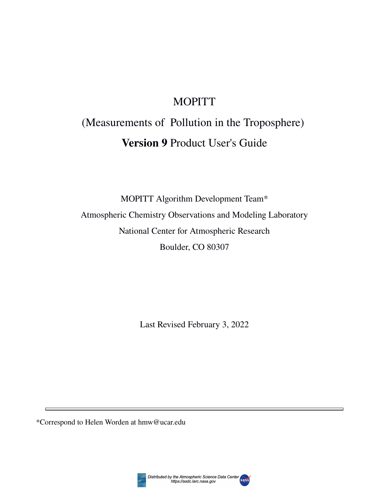## MOPITT

# (Measurements of Pollution in the Troposphere) **Version 9** Product User's Guide

MOPITT Algorithm Development Team\* Atmospheric Chemistry Observations and Modeling Laboratory National Center for Atmospheric Research Boulder, CO 80307

Last Revised February 3, 2022

\*Correspond to Helen Worden at hmw@ucar.edu

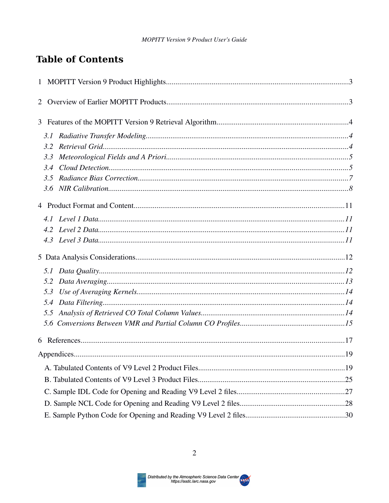## **Table of Contents**

| 3.1 |  |
|-----|--|
|     |  |
| 3.3 |  |
|     |  |
|     |  |
|     |  |
|     |  |
|     |  |
|     |  |
|     |  |
|     |  |
|     |  |
|     |  |
| 5.3 |  |
|     |  |
|     |  |
|     |  |
|     |  |
|     |  |
|     |  |
|     |  |
|     |  |
|     |  |
|     |  |
|     |  |

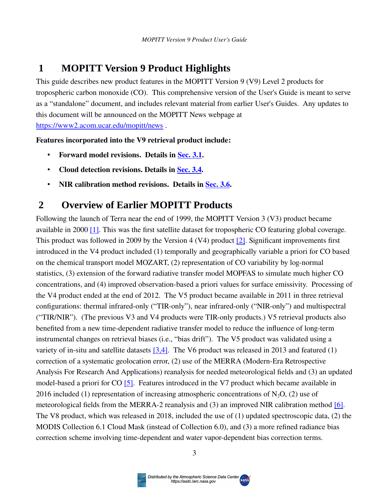## <span id="page-2-1"></span> **1 MOPITT Version 9 Product Highlights**

This guide describes new product features in the MOPITT Version 9 (V9) Level 2 products for tropospheric carbon monoxide (CO). This comprehensive version of the User's Guide is meant to serve as a "standalone" document, and includes relevant material from earlier User's Guides. Any updates to this document will be announced on the MOPITT News webpage at <https://www2.acom.ucar.edu/mopitt/news> .

**Features incorporated into the V9 retrieval product include:**

- Forward model revisions. Details in Sec. 3.1.
- **Cloud detection revisions. Details in [Sec. 3.4](#page-4-0).**
- **NIR calibration method revisions. Details in Sec. 3.6.**

## <span id="page-2-0"></span> **2 Overview of Earlier MOPITT Products**

Following the launch of Terra near the end of 1999, the MOPITT Version 3 (V3) product became available in 2000 [\[1\].](#page-16-1) This was the first satellite dataset for tropospheric CO featuring global coverage. This product was followed in 2009 by the Version 4 (V4) product [\[2\]](#page-16-1). Significant improvements first introduced in the V4 product included (1) temporally and geographically variable a priori for CO based on the chemical transport model MOZART, (2) representation of CO variability by log-normal statistics, (3) extension of the forward radiative transfer model MOPFAS to simulate much higher CO concentrations, and (4) improved observation-based a priori values for surface emissivity. Processing of the V4 product ended at the end of 2012. The V5 product became available in 2011 in three retrieval configurations: thermal infrared-only ("TIR-only"), near infrared-only ("NIR-only") and multispectral ("TIR/NIR"). (The previous V3 and V4 products were TIR-only products.) V5 retrieval products also benefited from a new time-dependent radiative transfer model to reduce the influence of long-term instrumental changes on retrieval biases (i.e., "bias drift"). The V5 product was validated using a variety of in-situ and satellite datasets [\[3,4\].](#page-16-1) The V6 product was released in 2013 and featured (1) correction of a systematic geolocation error, (2) use of the MERRA (Modern-Era Retrospective Analysis For Research And Applications) reanalysis for needed meteorological fields and (3) an updated model-based a priori for CO [\[5\]](#page-16-1). Features introduced in the V7 product which became available in 2016 included (1) representation of increasing atmospheric concentrations of  $N_2$ O, (2) use of meteorological fields from the MERRA-2 reanalysis and (3) an improved NIR calibration method [\[6\]](#page-16-1). The V8 product, which was released in 2018, included the use of (1) updated spectroscopic data, (2) the MODIS Collection 6.1 Cloud Mask (instead of Collection 6.0), and (3) a more refined radiance bias correction scheme involving time-dependent and water vapor-dependent bias correction terms.

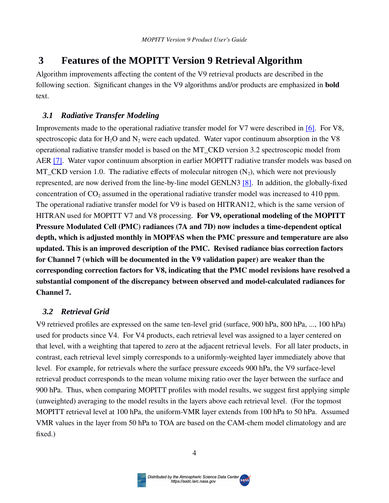## <span id="page-3-2"></span> **3 Features of the MOPITT Version 9 Retrieval Algorithm**

Algorithm improvements affecting the content of the V9 retrieval products are described in the following section. Significant changes in the V9 algorithms and/or products are emphasized in **bold** text.

#### <span id="page-3-1"></span> *3.1 Radiative Transfer Modeling*

Improvements made to the operational radiative transfer model for V7 were described in [\[6\]](#page-16-1). For V8, spectroscopic data for  $H_2O$  and  $N_2$  were each updated. Water vapor continuum absorption in the V8 operational radiative transfer model is based on the MT\_CKD version 3.2 spectroscopic model from AER [\[7\].](#page-16-1) Water vapor continuum absorption in earlier MOPITT radiative transfer models was based on MT\_CKD version 1.0. The radiative effects of molecular nitrogen  $(N_2)$ , which were not previously represented, are now derived from the line-by-line model GENLN3 [\[8\].](#page-16-1) In addition, the globally-fixed concentration of  $CO_2$  assumed in the operational radiative transfer model was increased to 410 ppm. The operational radiative transfer model for V9 is based on HITRAN12, which is the same version of HITRAN used for MOPITT V7 and V8 processing. **For V9, operational modeling of the MOPITT Pressure Modulated Cell (PMC) radiances (7A and 7D) now includes a time-dependent optical depth, which is adjusted monthly in MOPFAS when the PMC pressure and temperature are also updated. This is an improved description of the PMC. Revised radiance bias correction factors for Channel 7 (which will be documented in the V9 validation paper) are weaker than the corresponding correction factors for V8, indicating that the PMC model revisions have resolved a substantial component of the discrepancy between observed and model-calculated radiances for Channel 7.**

#### <span id="page-3-3"></span><span id="page-3-0"></span> *3.2 Retrieval Grid*

V9 retrieved profiles are expressed on the same ten-level grid (surface, 900 hPa, 800 hPa, ..., 100 hPa) used for products since V4. For V4 products, each retrieval level was assigned to a layer centered on that level, with a weighting that tapered to zero at the adjacent retrieval levels. For all later products, in contrast, each retrieval level simply corresponds to a uniformly-weighted layer immediately above that level. For example, for retrievals where the surface pressure exceeds 900 hPa, the V9 surface-level retrieval product corresponds to the mean volume mixing ratio over the layer between the surface and 900 hPa. Thus, when comparing MOPITT profiles with model results, we suggest first applying simple (unweighted) averaging to the model results in the layers above each retrieval level. (For the topmost MOPITT retrieval level at 100 hPa, the uniform-VMR layer extends from 100 hPa to 50 hPa. Assumed VMR values in the layer from 50 hPa to TOA are based on the CAM-chem model climatology and are fixed.)

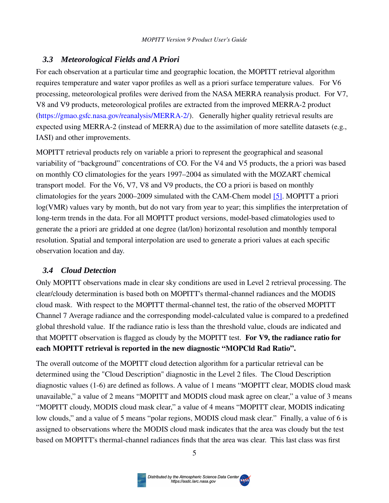#### <span id="page-4-1"></span> *3.3 Meteorological Fields and A Priori*

For each observation at a particular time and geographic location, the MOPITT retrieval algorithm requires temperature and water vapor profiles as well as a priori surface temperature values. For V6 processing, meteorological profiles were derived from the NASA MERRA reanalysis product. For V7, V8 and V9 products, meteorological profiles are extracted from the improved MERRA-2 product ([https://gmao.gsfc.nasa.gov/reanalysis/MERRA-2/\)](https://gmao.gsfc.nasa.gov/reanalysis/MERRA-2/). Generally higher quality retrieval results are expected using MERRA-2 (instead of MERRA) due to the assimilation of more satellite datasets (e.g., IASI) and other improvements.

MOPITT retrieval products rely on variable a priori to represent the geographical and seasonal variability of "background" concentrations of CO. For the V4 and V5 products, the a priori was based on monthly CO climatologies for the years 1997–2004 as simulated with the MOZART chemical transport model. For the V6, V7, V8 and V9 products, the CO a priori is based on monthly climatologies for the years  $2000-2009$  simulated with the CAM-Chem model [5]. MOPITT a priori log(VMR) values vary by month, but do not vary from year to year; this simplifies the interpretation of long-term trends in the data. For all MOPITT product versions, model-based climatologies used to generate the a priori are gridded at one degree (lat/lon) horizontal resolution and monthly temporal resolution. Spatial and temporal interpolation are used to generate a priori values at each specific observation location and day.

#### <span id="page-4-0"></span> *3.4 Cloud Detection*

Only MOPITT observations made in clear sky conditions are used in Level 2 retrieval processing. The clear/cloudy determination is based both on MOPITT's thermal-channel radiances and the MODIS cloud mask. With respect to the MOPITT thermal-channel test, the ratio of the observed MOPITT Channel 7 Average radiance and the corresponding model-calculated value is compared to a predefined global threshold value. If the radiance ratio is less than the threshold value, clouds are indicated and that MOPITT observation is flagged as cloudy by the MOPITT test. **For V9, the radiance ratio for each MOPITT retrieval is reported in the new diagnostic "MOPCld Rad Ratio".**

The overall outcome of the MOPITT cloud detection algorithm for a particular retrieval can be determined using the "Cloud Description" diagnostic in the Level 2 files. The Cloud Description diagnostic values (1-6) are defined as follows. A value of 1 means "MOPITT clear, MODIS cloud mask unavailable," a value of 2 means "MOPITT and MODIS cloud mask agree on clear," a value of 3 means "MOPITT cloudy, MODIS cloud mask clear," a value of 4 means "MOPITT clear, MODIS indicating low clouds," and a value of 5 means "polar regions, MODIS cloud mask clear." Finally, a value of 6 is assigned to observations where the MODIS cloud mask indicates that the area was cloudy but the test based on MOPITT's thermal-channel radiances finds that the area was clear. This last class was first

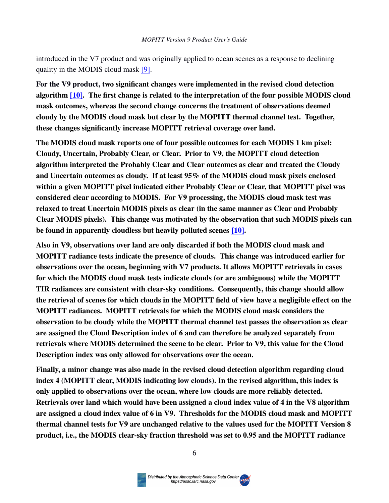introduced in the V7 product and was originally applied to ocean scenes as a response to declining quality in the MODIS cloud mask [\[9\]](#page-16-0).

**For the V9 product, two significant changes were implemented in the revised cloud detection algorithm [\[10\]](#page-16-0). The first change is related to the interpretation of the four possible MODIS cloud mask outcomes, whereas the second change concerns the treatment of observations deemed cloudy by the MODIS cloud mask but clear by the MOPITT thermal channel test. Together, these changes significantly increase MOPITT retrieval coverage over land.**

**The MODIS cloud mask reports one of four possible outcomes for each MODIS 1 km pixel: Cloudy, Uncertain, Probably Clear, or Clear. Prior to V9, the MOPITT cloud detection algorithm interpreted the Probably Clear and Clear outcomes as clear and treated the Cloudy and Uncertain outcomes as cloudy. If at least 95% of the MODIS cloud mask pixels enclosed within a given MOPITT pixel indicated either Probably Clear or Clear, that MOPITT pixel was considered clear according to MODIS. For V9 processing, the MODIS cloud mask test was relaxed to treat Uncertain MODIS pixels as clear (in the same manner as Clear and Probably Clear MODIS pixels). This change was motivated by the observation that such MODIS pixels can be found in apparently cloudless but heavily polluted scenes [\[10\]](#page-16-0).** 

**Also in V9, observations over land are only discarded if both the MODIS cloud mask and MOPITT radiance tests indicate the presence of clouds. This change was introduced earlier for observations over the ocean, beginning with V7 products. It allows MOPITT retrievals in cases for which the MODIS cloud mask tests indicate clouds (or are ambiguous) while the MOPITT TIR radiances are consistent with clear-sky conditions. Consequently, this change should allow the retrieval of scenes for which clouds in the MOPITT field of view have a negligible effect on the MOPITT radiances. MOPITT retrievals for which the MODIS cloud mask considers the observation to be cloudy while the MOPITT thermal channel test passes the observation as clear are assigned the Cloud Description index of 6 and can therefore be analyzed separately from retrievals where MODIS determined the scene to be clear. Prior to V9, this value for the Cloud Description index was only allowed for observations over the ocean.** 

**Finally, a minor change was also made in the revised cloud detection algorithm regarding cloud index 4 (MOPITT clear, MODIS indicating low clouds). In the revised algorithm, this index is only applied to observations over the ocean, where low clouds are more reliably detected. Retrievals over land which would have been assigned a cloud index value of 4 in the V8 algorithm are assigned a cloud index value of 6 in V9. Thresholds for the MODIS cloud mask and MOPITT thermal channel tests for V9 are unchanged relative to the values used for the MOPITT Version 8 product, i.e., the MODIS clear-sky fraction threshold was set to 0.95 and the MOPITT radiance** 

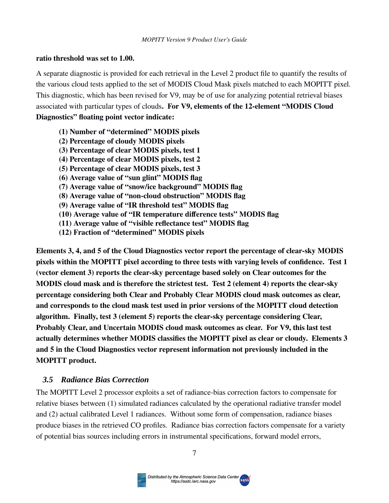#### **ratio threshold was set to 1.00.**

A separate diagnostic is provided for each retrieval in the Level 2 product file to quantify the results of the various cloud tests applied to the set of MODIS Cloud Mask pixels matched to each MOPITT pixel. This diagnostic, which has been revised for V9, may be of use for analyzing potential retrieval biases associated with particular types of clouds**. For V9, elements of the 12-element "MODIS Cloud Diagnostics" floating point vector indicate:**

- **(1) Number of "determined" MODIS pixels**
- **(2) Percentage of cloudy MODIS pixels**
- **(3) Percentage of clear MODIS pixels, test 1**
- **(4) Percentage of clear MODIS pixels, test 2**
- **(5) Percentage of clear MODIS pixels, test 3**
- **(6) Average value of "sun glint" MODIS flag**
- **(7) Average value of "snow/ice background" MODIS flag**
- **(8) Average value of "non-cloud obstruction" MODIS flag**
- **(9) Average value of "IR threshold test" MODIS flag**
- **(10) Average value of "IR temperature difference tests" MODIS flag**
- **(11) Average value of "visible reflectance test" MODIS flag**
- **(12) Fraction of "determined" MODIS pixels**

**Elements 3, 4, and 5 of the Cloud Diagnostics vector report the percentage of clear-sky MODIS pixels within the MOPITT pixel according to three tests with varying levels of confidence. Test 1 (vector element 3) reports the clear-sky percentage based solely on Clear outcomes for the MODIS cloud mask and is therefore the strictest test. Test 2 (element 4) reports the clear-sky percentage considering both Clear and Probably Clear MODIS cloud mask outcomes as clear, and corresponds to the cloud mask test used in prior versions of the MOPITT cloud detection algorithm. Finally, test 3 (element 5) reports the clear-sky percentage considering Clear, Probably Clear, and Uncertain MODIS cloud mask outcomes as clear. For V9, this last test actually determines whether MODIS classifies the MOPITT pixel as clear or cloudy. Elements 3 and 5 in the Cloud Diagnostics vector represent information not previously included in the MOPITT product.**

#### <span id="page-6-0"></span> *3.5 Radiance Bias Correction*

The MOPITT Level 2 processor exploits a set of radiance-bias correction factors to compensate for relative biases between (1) simulated radiances calculated by the operational radiative transfer model and (2) actual calibrated Level 1 radiances. Without some form of compensation, radiance biases produce biases in the retrieved CO profiles. Radiance bias correction factors compensate for a variety of potential bias sources including errors in instrumental specifications, forward model errors,

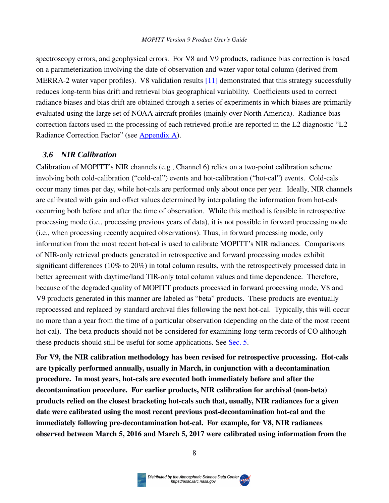#### *MOPITT Version 9 Product User's Guide*

spectroscopy errors, and geophysical errors. For V8 and V9 products, radiance bias correction is based on a parameterization involving the date of observation and water vapor total column (derived from MERRA-2 water vapor profiles). V8 validation results  $[11]$  demonstrated that this strategy successfully reduces long-term bias drift and retrieval bias geographical variability. Coefficients used to correct radiance biases and bias drift are obtained through a series of experiments in which biases are primarily evaluated using the large set of NOAA aircraft profiles (mainly over North America). Radiance bias correction factors used in the processing of each retrieved profile are reported in the L2 diagnostic "L2 Radiance Correction Factor" (see [Appendix A](#page-18-2)).

#### <span id="page-7-1"></span><span id="page-7-0"></span> *3.6 NIR Calibration*

Calibration of MOPITT's NIR channels (e.g., Channel 6) relies on a two-point calibration scheme involving both cold-calibration ("cold-cal") events and hot-calibration ("hot-cal") events. Cold-cals occur many times per day, while hot-cals are performed only about once per year. Ideally, NIR channels are calibrated with gain and offset values determined by interpolating the information from hot-cals occurring both before and after the time of observation. While this method is feasible in retrospective processing mode (i.e., processing previous years of data), it is not possible in forward processing mode (i.e., when processing recently acquired observations). Thus, in forward processing mode, only information from the most recent hot-cal is used to calibrate MOPITT's NIR radiances. Comparisons of NIR-only retrieval products generated in retrospective and forward processing modes exhibit significant differences (10% to 20%) in total column results, with the retrospectively processed data in better agreement with daytime/land TIR-only total column values and time dependence. Therefore, because of the degraded quality of MOPITT products processed in forward processing mode, V8 and V9 products generated in this manner are labeled as "beta" products. These products are eventually reprocessed and replaced by standard archival files following the next hot-cal. Typically, this will occur no more than a year from the time of a particular observation (depending on the date of the most recent hot-cal). The beta products should not be considered for examining long-term records of CO although these products should still be useful for some applications. See [Sec. 5](#page-11-1).

**For V9, the NIR calibration methodology has been revised for retrospective processing. Hot-cals are typically performed annually, usually in March, in conjunction with a decontamination procedure. In most years, hot-cals are executed both immediately before and after the decontamination procedure. For earlier products, NIR calibration for archival (non-beta) products relied on the closest bracketing hot-cals such that, usually, NIR radiances for a given date were calibrated using the most recent previous post-decontamination hot-cal and the immediately following pre-decontamination hot-cal. For example, for V8, NIR radiances observed between March 5, 2016 and March 5, 2017 were calibrated using information from the** 

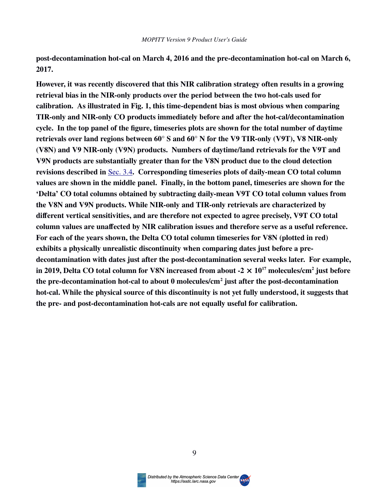**post-decontamination hot-cal on March 4, 2016 and the pre-decontamination hot-cal on March 6, 2017.**

**However, it was recently discovered that this NIR calibration strategy often results in a growing retrieval bias in the NIR-only products over the period between the two hot-cals used for calibration. As illustrated in Fig. 1, this time-dependent bias is most obvious when comparing TIR-only and NIR-only CO products immediately before and after the hot-cal/decontamination cycle. In the top panel of the figure, timeseries plots are shown for the total number of daytime retrievals over land regions between 60° S and 60° N for the V9 TIR-only (V9T), V8 NIR-only (V8N) and V9 NIR-only (V9N) products. Numbers of daytime/land retrievals for the V9T and V9N products are substantially greater than for the V8N product due to the cloud detection**  revisions described in Sec. 3.4. Corresponding timeseries plots of daily-mean CO total column **values are shown in the middle panel. Finally, in the bottom panel, timeseries are shown for the 'Delta' CO total columns obtained by subtracting daily-mean V9T CO total column values from the V8N and V9N products. While NIR-only and TIR-only retrievals are characterized by different vertical sensitivities, and are therefore not expected to agree precisely, V9T CO total column values are unaffected by NIR calibration issues and therefore serve as a useful reference. For each of the years shown, the Delta CO total column timeseries for V8N (plotted in red) exhibits a physically unrealistic discontinuity when comparing dates just before a predecontamination with dates just after the post-decontamination several weeks later. For example,** in 2019, Delta CO total column for V8N increased from about -2  $\times$  10<sup>17</sup> molecules/cm<sup>2</sup> just before **the pre-decontamination hot-cal to about 0 molecules/cm<sup>2</sup> just after the post-decontamination hot-cal. While the physical source of this discontinuity is not yet fully understood, it suggests that the pre- and post-decontamination hot-cals are not equally useful for calibration.**



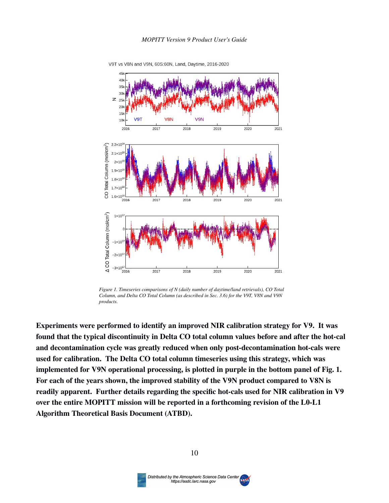

V9T vs V8N and V9N, 60S:60N, Land, Daytime, 2016-2020

*Figure 1. Timeseries comparisons of N (daily number of daytime/land retrievals), CO Total Column, and Delta CO Total Column (as described in Sec. 3.6) for the V9T, V8N and V9N products.*

**Experiments were performed to identify an improved NIR calibration strategy for V9. It was found that the typical discontinuity in Delta CO total column values before and after the hot-cal and decontamination cycle was greatly reduced when only post-decontamination hot-cals were used for calibration. The Delta CO total column timeseries using this strategy, which was implemented for V9N operational processing, is plotted in purple in the bottom panel of Fig. 1. For each of the years shown, the improved stability of the V9N product compared to V8N is readily apparent. Further details regarding the specific hot-cals used for NIR calibration in V9 over the entire MOPITT mission will be reported in a forthcoming revision of the L0-L1 Algorithm Theoretical Basis Document (ATBD).**

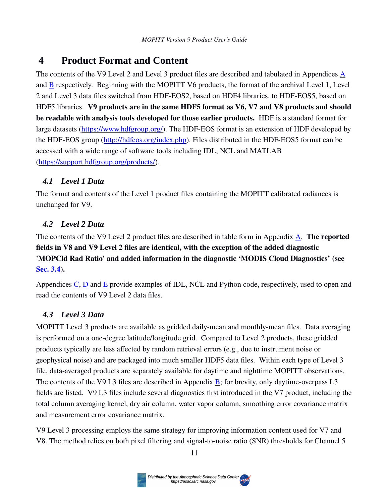## <span id="page-10-3"></span> **4 Product Format and Content**

The contents of the V9 Level 2 and Level 3 product files are described and tabulated in [A](#page-18-2)ppendices A and [B](#page-24-1) respectively. Beginning with the MOPITT V6 products, the format of the archival Level 1, Level 2 and Level 3 data files switched from HDF-EOS2, based on HDF4 libraries, to HDF-EOS5, based on HDF5 libraries. **V9 products are in the same HDF5 format as V6, V7 and V8 products and should be readable with analysis tools developed for those earlier products.** HDF is a standard format for large datasets [\(https://www.hdfgroup.org/](https://www.hdfgroup.org/)). The HDF-EOS format is an extension of HDF developed by the HDF-EOS group (<http://hdfeos.org/index.php>). Files distributed in the HDF-EOS5 format can be accessed with a wide range of software tools including IDL, NCL and MATLAB (<https://support.hdfgroup.org/products/>).

## <span id="page-10-2"></span> *4.1 Level 1 Data*

The format and contents of the Level 1 product files containing the MOPITT calibrated radiances is unchanged for V9.

## <span id="page-10-1"></span> *4.2 Level 2 Data*

The contents of the V9 Level 2 product files are described in table form in Appendix [A.](#page-18-2) **The reported fields in V8 and V9 Level 2 files are identical, with the exception of the added diagnostic 'MOPCld Rad Ratio' and added information in the diagnostic 'MODIS Cloud Diagnostics' (see [Sec. 3.4](#page-4-0)).**

Appendices [C](#page-26-1), [D](#page-27-1) and [E](#page-29-0) provide examples of IDL, NCL and Python code, respectively, used to open and read the contents of V9 Level 2 data files.

## <span id="page-10-0"></span> *4.3 Level 3 Data*

MOPITT Level 3 products are available as gridded daily-mean and monthly-mean files. Data averaging is performed on a one-degree latitude/longitude grid. Compared to Level 2 products, these gridded products typically are less affected by random retrieval errors (e.g., due to instrument noise or geophysical noise) and are packaged into much smaller HDF5 data files. Within each type of Level 3 file, data-averaged products are separately available for daytime and nighttime MOPITT observations. The contents of the V9 L3 files are described in Appendix [B;](#page-24-1) for brevity, only daytime-overpass L3 fields are listed. V9 L3 files include several diagnostics first introduced in the V7 product, including the total column averaging kernel, dry air column, water vapor column, smoothing error covariance matrix and measurement error covariance matrix.

V9 Level 3 processing employs the same strategy for improving information content used for V7 and V8. The method relies on both pixel filtering and signal-to-noise ratio (SNR) thresholds for Channel 5

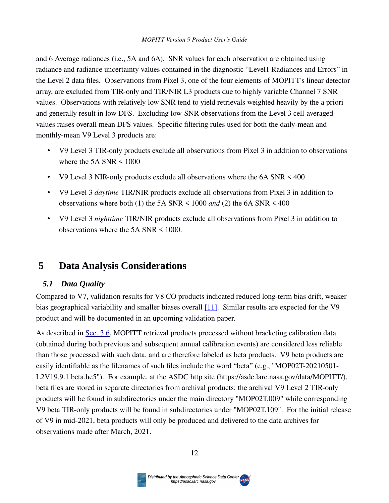#### *MOPITT Version 9 Product User's Guide*

and 6 Average radiances (i.e., 5A and 6A). SNR values for each observation are obtained using radiance and radiance uncertainty values contained in the diagnostic "Level1 Radiances and Errors" in the Level 2 data files. Observations from Pixel 3, one of the four elements of MOPITT's linear detector array, are excluded from TIR-only and TIR/NIR L3 products due to highly variable Channel 7 SNR values. Observations with relatively low SNR tend to yield retrievals weighted heavily by the a priori and generally result in low DFS. Excluding low-SNR observations from the Level 3 cell-averaged values raises overall mean DFS values. Specific filtering rules used for both the daily-mean and monthly-mean V9 Level 3 products are:

- V9 Level 3 TIR-only products exclude all observations from Pixel 3 in addition to observations where the  $5A SNR < 1000$
- V9 Level 3 NIR-only products exclude all observations where the 6A SNR < 400
- V9 Level 3 *daytime* TIR/NIR products exclude all observations from Pixel 3 in addition to observations where both (1) the 5A SNR < 1000 *and* (2) the 6A SNR < 400
- V9 Level 3 *nighttime* TIR/NIR products exclude all observations from Pixel 3 in addition to observations where the 5A SNR < 1000.

## <span id="page-11-1"></span> **5 Data Analysis Considerations**

#### <span id="page-11-0"></span> *5.1 Data Quality*

Compared to V7, validation results for V8 CO products indicated reduced long-term bias drift, weaker bias geographical variability and smaller biases overall [\[11\]](#page-16-0). Similar results are expected for the V9 product and will be documented in an upcoming validation paper.

As described in Sec. 3.6, MOPITT retrieval products processed without bracketing calibration data (obtained during both previous and subsequent annual calibration events) are considered less reliable than those processed with such data, and are therefore labeled as beta products. V9 beta products are easily identifiable as the filenames of such files include the word "beta" (e.g., "MOP02T-20210501- L2V19.9.1.beta.he5"). For example, at the ASDC http site (https://asdc.larc.nasa.gov/data/MOPITT/), beta files are stored in separate directories from archival products: the archival V9 Level 2 TIR-only products will be found in subdirectories under the main directory "MOP02T.009" while corresponding V9 beta TIR-only products will be found in subdirectories under "MOP02T.109". For the initial release of V9 in mid-2021, beta products will only be produced and delivered to the data archives for observations made after March, 2021.

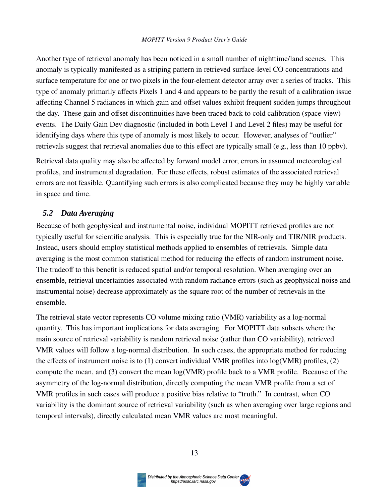Another type of retrieval anomaly has been noticed in a small number of nighttime/land scenes. This anomaly is typically manifested as a striping pattern in retrieved surface-level CO concentrations and surface temperature for one or two pixels in the four-element detector array over a series of tracks. This type of anomaly primarily affects Pixels 1 and 4 and appears to be partly the result of a calibration issue affecting Channel 5 radiances in which gain and offset values exhibit frequent sudden jumps throughout the day. These gain and offset discontinuities have been traced back to cold calibration (space-view) events. The Daily Gain Dev diagnostic (included in both Level 1 and Level 2 files) may be useful for identifying days where this type of anomaly is most likely to occur. However, analyses of "outlier" retrievals suggest that retrieval anomalies due to this effect are typically small (e.g., less than 10 ppbv).

Retrieval data quality may also be affected by forward model error, errors in assumed meteorological profiles, and instrumental degradation. For these effects, robust estimates of the associated retrieval errors are not feasible. Quantifying such errors is also complicated because they may be highly variable in space and time.

### <span id="page-12-0"></span> *5.2 Data Averaging*

Because of both geophysical and instrumental noise, individual MOPITT retrieved profiles are not typically useful for scientific analysis. This is especially true for the NIR-only and TIR/NIR products. Instead, users should employ statistical methods applied to ensembles of retrievals. Simple data averaging is the most common statistical method for reducing the effects of random instrument noise. The tradeoff to this benefit is reduced spatial and/or temporal resolution. When averaging over an ensemble, retrieval uncertainties associated with random radiance errors (such as geophysical noise and instrumental noise) decrease approximately as the square root of the number of retrievals in the ensemble.

The retrieval state vector represents CO volume mixing ratio (VMR) variability as a log-normal quantity. This has important implications for data averaging. For MOPITT data subsets where the main source of retrieval variability is random retrieval noise (rather than CO variability), retrieved VMR values will follow a log-normal distribution. In such cases, the appropriate method for reducing the effects of instrument noise is to (1) convert individual VMR profiles into log(VMR) profiles, (2) compute the mean, and (3) convert the mean log(VMR) profile back to a VMR profile. Because of the asymmetry of the log-normal distribution, directly computing the mean VMR profile from a set of VMR profiles in such cases will produce a positive bias relative to "truth." In contrast, when CO variability is the dominant source of retrieval variability (such as when averaging over large regions and temporal intervals), directly calculated mean VMR values are most meaningful.

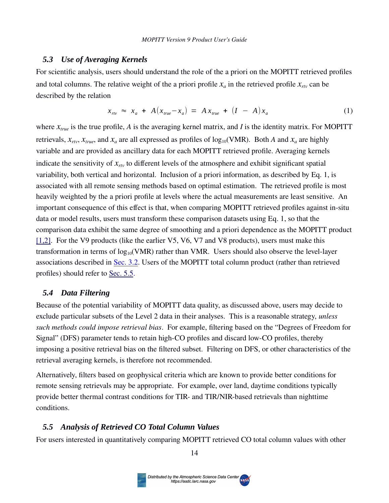#### <span id="page-13-0"></span> *5.3 Use of Averaging Kernels*

For scientific analysis, users should understand the role of the a priori on the MOPITT retrieved profiles and total columns. The relative weight of the a priori profile  $x_a$  in the retrieved profile  $x_{\text{rtv}}$  can be described by the relation

$$
x_{rw} \approx x_a + A(x_{true} - x_a) = Ax_{true} + (I - A)x_a \tag{1}
$$

where *xtrue* is the true profile, *A* is the averaging kernel matrix, and *I* is the identity matrix. For MOPITT retrievals,  $x_{rtv}$ ,  $x_{true}$ , and  $x_a$  are all expressed as profiles of log<sub>10</sub>(VMR). Both *A* and  $x_a$  are highly variable and are provided as ancillary data for each MOPITT retrieved profile. Averaging kernels indicate the sensitivity of *xrtv* to different levels of the atmosphere and exhibit significant spatial variability, both vertical and horizontal. Inclusion of a priori information, as described by Eq. 1, is associated with all remote sensing methods based on optimal estimation. The retrieved profile is most heavily weighted by the a priori profile at levels where the actual measurements are least sensitive. An important consequence of this effect is that, when comparing MOPITT retrieved profiles against in-situ data or model results, users must transform these comparison datasets using Eq. 1, so that the comparison data exhibit the same degree of smoothing and a priori dependence as the MOPITT product [\[1,2\].](#page-16-1) For the V9 products (like the earlier V5, V6, V7 and V8 products), users must make this transformation in terms of  $log_{10}(VMR)$  rather than VMR. Users should also observe the level-layer associations described in [Sec. 3.2](#page-3-3). Users of the MOPITT total column product (rather than retrieved profiles) should refer to Sec. 5.5.

#### <span id="page-13-2"></span> *5.4 Data Filtering*

Because of the potential variability of MOPITT data quality, as discussed above, users may decide to exclude particular subsets of the Level 2 data in their analyses. This is a reasonable strategy, *unless such methods could impose retrieval bias*. For example, filtering based on the "Degrees of Freedom for Signal" (DFS) parameter tends to retain high-CO profiles and discard low-CO profiles, thereby imposing a positive retrieval bias on the filtered subset. Filtering on DFS, or other characteristics of the retrieval averaging kernels, is therefore not recommended.

Alternatively, filters based on geophysical criteria which are known to provide better conditions for remote sensing retrievals may be appropriate. For example, over land, daytime conditions typically provide better thermal contrast conditions for TIR- and TIR/NIR-based retrievals than nighttime conditions.

#### <span id="page-13-1"></span> *5.5 Analysis of Retrieved CO Total Column Values*

For users interested in quantitatively comparing MOPITT retrieved CO total column values with other

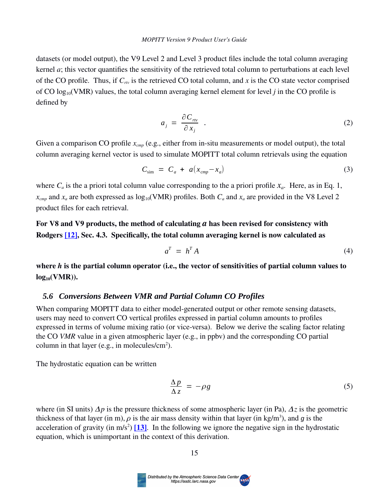datasets (or model output), the V9 Level 2 and Level 3 product files include the total column averaging kernel *a*; this vector quantifies the sensitivity of the retrieved total column to perturbations at each level of the CO profile. Thus, if  $C_{rw}$  is the retrieved CO total column, and  $x$  is the CO state vector comprised of CO  $log_{10}(VMR)$  values, the total column averaging kernel element for level *j* in the CO profile is defined by

$$
a_j = \frac{\partial C_{rw}}{\partial x_j} \tag{2}
$$

Given a comparison CO profile  $x_{\text{cmp}}$  (e.g., either from in-situ measurements or model output), the total column averaging kernel vector is used to simulate MOPITT total column retrievals using the equation

$$
C_{\text{sim}} = C_a + a(x_{\text{cmp}} - x_a) \tag{3}
$$

where  $C_a$  is the a priori total column value corresponding to the a priori profile  $x_a$ . Here, as in Eq. 1,  $x_{cmp}$  and  $x_a$  are both expressed as  $log_{10}(VMR)$  profiles. Both  $C_a$  and  $x_a$  are provided in the V8 Level 2 product files for each retrieval.

**For V8 and V9 products, the method of calculating** *a* **has been revised for consistency with Rodgers** [12], Sec. 4.3. Specifically, the total column averaging kernel is now calculated as

$$
a^T = h^T A \tag{4}
$$

**where** *h* **is the partial column operator (i.e., the vector of sensitivities of partial column values to log10(VMR)).** 

#### <span id="page-14-0"></span> *5.6 Conversions Between VMR and Partial Column CO Profiles*

When comparing MOPITT data to either model-generated output or other remote sensing datasets, users may need to convert CO vertical profiles expressed in partial column amounts to profiles expressed in terms of volume mixing ratio (or vice-versa). Below we derive the scaling factor relating the CO *VMR* value in a given atmospheric layer (e.g., in ppbv) and the corresponding CO partial column in that layer (e.g., in molecules/ $\text{cm}^2$ ).

The hydrostatic equation can be written

$$
\frac{\Delta p}{\Delta z} = -\rho g \tag{5}
$$

where (in SI units)  $\Delta p$  is the pressure thickness of some atmospheric layer (in Pa),  $\Delta z$  is the geometric thickness of that layer (in m),  $\rho$  is the air mass density within that layer (in kg/m<sup>3</sup>), and *g* is the acceleration of gravity (in  $m/s^2$ ) [13]. In the following we ignore the negative sign in the hydrostatic equation, which is unimportant in the context of this derivation.

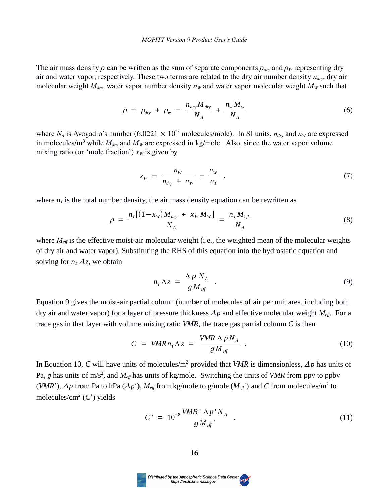The air mass density  $\rho$  can be written as the sum of separate components  $\rho_{drv}$  and  $\rho_w$  representing dry air and water vapor, respectively. These two terms are related to the dry air number density *ndry*, dry air molecular weight  $M_{\text{dry}}$ , water vapor number density  $n_w$  and water vapor molecular weight  $M_w$  such that

$$
\rho = \rho_{\text{dry}} + \rho_{\text{w}} = \frac{n_{\text{dry}} M_{\text{dry}}}{N_A} + \frac{n_{\text{w}} M_{\text{w}}}{N_A} \tag{6}
$$

where  $N_A$  is Avogadro's number (6.0221  $\times$  10<sup>23</sup> molecules/mole). In SI units,  $n_{dry}$  and  $n_W$  are expressed in molecules/m<sup>3</sup> while  $M_{\text{dry}}$  and  $M_W$  are expressed in kg/mole. Also, since the water vapor volume mixing ratio (or 'mole fraction')  $x_W$  is given by

$$
x_w = \frac{n_w}{n_{\text{dry}} + n_w} = \frac{n_w}{n_T} \quad , \tag{7}
$$

where  $n<sub>T</sub>$  is the total number density, the air mass density equation can be rewritten as

$$
\rho = \frac{n_T[(1 - x_W)M_{\text{dry}} + x_W M_W]}{N_A} = \frac{n_T M_{\text{eff}}}{N_A}
$$
(8)

where *M*<sub>*eff*</sub> is the effective moist-air molecular weight (i.e., the weighted mean of the molecular weights of dry air and water vapor). Substituting the RHS of this equation into the hydrostatic equation and solving for  $n<sub>T</sub> \Delta z$ , we obtain

$$
n_{T} \Delta z = \frac{\Delta p N_{A}}{g M_{\text{eff}}} \quad . \tag{9}
$$

Equation 9 gives the moist-air partial column (number of molecules of air per unit area, including both dry air and water vapor) for a layer of pressure thickness  $\Delta p$  and effective molecular weight  $M_{\text{eff}}$ . For a trace gas in that layer with volume mixing ratio *VMR*, the trace gas partial column *C* is then

$$
C = VMR n_{T} \Delta z = \frac{VMR \Delta p N_{A}}{g M_{eff}} \quad . \tag{10}
$$

In Equation 10, *C* will have units of molecules/m<sup>2</sup> provided that *VMR* is dimensionless,  $\Delta p$  has units of Pa, *g* has units of m/s<sup>2</sup>, and  $M_{\text{eff}}$  has units of kg/mole. Switching the units of *VMR* from ppv to ppbv (*VMR*<sup> $\prime$ </sup>),  $\Delta p$  from Pa to hPa ( $\Delta p'$ ),  $M_{\text{eff}}$  from kg/mole to g/mole ( $M_{\text{eff}}'$ ) and *C* from molecules/m<sup>2</sup> to molecules/cm<sup>2</sup> (C') yields

$$
C' = 10^{-8} \frac{VMR' \Delta p' N_A}{g M_{\text{eff}}'} \tag{11}
$$

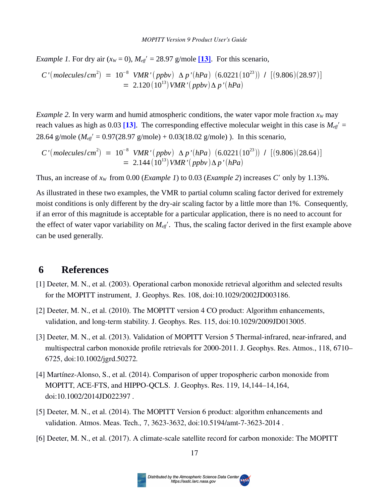*Example 1. For dry air* ( $x_W$  = 0),  $M_{\text{eff}}$  = 28.97 g/mole [13]. For this scenario,

$$
C'(molecules/cm2) = 10-8 VMR'(ppbv) \Delta p'(hPa) (6.0221(1023)) / [(9.806)(28.97)]
$$
  
= 2.120(10<sup>13</sup>) VMR'(ppbv)  $\Delta p'(hPa)$ 

*Example 2.* In very warm and humid atmospheric conditions, the water vapor mole fraction  $x<sub>W</sub>$  may reach values as high as  $0.03$  [\[13\]](#page-16-0). The corresponding effective molecular weight in this case is  $M_{\text{eff}}$ <sup>+</sup> = 28.64 g/mole ( $M_{\text{eff}}$ <sup> $\prime$ </sup> = 0.97(28.97 g/mole) + 0.03(18.02 g/mole)). In this scenario,

$$
C'(molecules/cm2) = 10-8 VMR'(ppbv) \Delta p'(hPa) (6.0221(1023)) / [(9.806)(28.64)]
$$
  
= 2.144(10<sup>13</sup>) VMR'(ppbv)  $\Delta p'(hPa)$ 

Thus, an increase of  $x_W$  from 0.00 (*Example 1*) to 0.03 (*Example 2*) increases *C'* only by 1.13%.

As illustrated in these two examples, the VMR to partial column scaling factor derived for extremely moist conditions is only different by the dry-air scaling factor by a little more than 1%. Consequently, if an error of this magnitude is acceptable for a particular application, there is no need to account for the effect of water vapor variability on  $M_{\text{eff}}'$ . Thus, the scaling factor derived in the first example above can be used generally.

## <span id="page-16-1"></span><span id="page-16-0"></span> **6 References**

- [1] Deeter, M. N., et al. (2003). Operational carbon monoxide retrieval algorithm and selected results for the MOPITT instrument, J. Geophys. Res. 108, doi:10.1029/2002JD003186.
- [2] Deeter, M. N., et al. (2010). The MOPITT version 4 CO product: Algorithm enhancements, validation, and long-term stability. J. Geophys. Res. 115, doi:10.1029/2009JD013005.
- [3] Deeter, M. N., et al. (2013). Validation of MOPITT Version 5 Thermal-infrared, near-infrared, and multispectral carbon monoxide profile retrievals for 2000-2011. J. Geophys. Res. Atmos., 118, 6710– 6725, doi:10.1002/jgrd.50272*.*
- [4] Martínez-Alonso, S., et al. (2014). Comparison of upper tropospheric carbon monoxide from MOPITT, ACE-FTS, and HIPPO-QCLS. J. Geophys. Res. 119, 14,144–14,164, doi:10.1002/2014JD022397 *.*
- [5] Deeter, M. N., et al. (2014). The MOPITT Version 6 product: algorithm enhancements and validation. Atmos. Meas. Tech.*,* 7, 3623-3632, doi:10.5194/amt-7-3623-2014 .
- [6] Deeter, M. N., et al. (2017). A climate-scale satellite record for carbon monoxide: The MOPITT

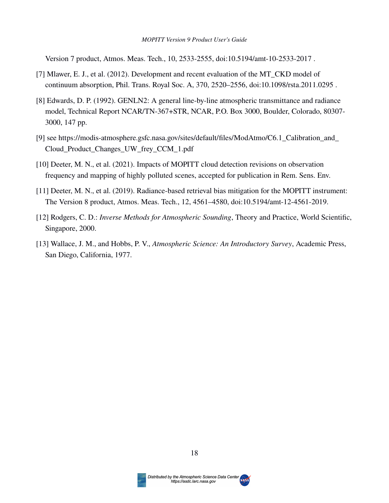Version 7 product, Atmos. Meas. Tech., 10, 2533-2555, doi:10.5194/amt-10-2533-2017 .

- [7] Mlawer, E. J., et al. (2012). Development and recent evaluation of the MT\_CKD model of continuum absorption, Phil. Trans. Royal Soc. A, 370, 2520–2556, doi:10.1098/rsta.2011.0295 .
- [8] Edwards, D. P. (1992). GENLN2: A general line-by-line atmospheric transmittance and radiance model, Technical Report NCAR/TN-367+STR, NCAR, P.O. Box 3000, Boulder, Colorado, 80307- 3000, 147 pp.
- [9] see https://modis-atmosphere.gsfc.nasa.gov/sites/default/files/ModAtmo/C6.1\_Calibration\_and\_ Cloud\_Product\_Changes\_UW\_frey\_CCM\_1.pdf
- [10] Deeter, M. N., et al. (2021). Impacts of MOPITT cloud detection revisions on observation frequency and mapping of highly polluted scenes, accepted for publication in Rem. Sens. Env.
- [11] Deeter, M. N., et al. (2019). Radiance-based retrieval bias mitigation for the MOPITT instrument: The Version 8 product, Atmos. Meas. Tech., 12, 4561–4580, doi:10.5194/amt-12-4561-2019.
- [12] Rodgers, C. D.: *Inverse Methods for Atmospheric Sounding*, Theory and Practice, World Scientific, Singapore, 2000.
- [13] Wallace, J. M., and Hobbs, P. V., *Atmospheric Science: An Introductory Survey*, Academic Press, San Diego, California, 1977.



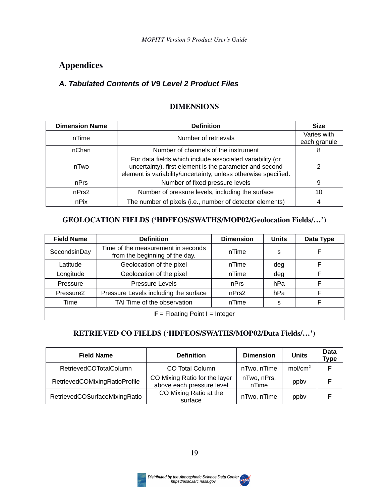## <span id="page-18-1"></span>**Appendices**

### <span id="page-18-2"></span><span id="page-18-0"></span>*A. Tabulated Contents of V***9** *Level 2 Product Files*

### **DIMENSIONS**

| <b>Dimension Name</b> | <b>Definition</b>                                                                                                                                                                      | <b>Size</b>                 |
|-----------------------|----------------------------------------------------------------------------------------------------------------------------------------------------------------------------------------|-----------------------------|
| nTime                 | Number of retrievals                                                                                                                                                                   | Varies with<br>each granule |
| nChan                 | Number of channels of the instrument                                                                                                                                                   | 8                           |
| nTwo                  | For data fields which include associated variability (or<br>uncertainty), first element is the parameter and second<br>element is variability/uncertainty, unless otherwise specified. |                             |
| nPrs                  | Number of fixed pressure levels                                                                                                                                                        | 9                           |
| nPrs2                 | Number of pressure levels, including the surface                                                                                                                                       | 10                          |
| nPix                  | The number of pixels (i.e., number of detector elements)                                                                                                                               |                             |

#### **GEOLOCATION FIELDS ('HDFEOS/SWATHS/MOP02/Geolocation Fields/…')**

| <b>Field Name</b>                                              | <b>Definition</b>                                                    | <b>Dimension</b> | <b>Units</b> | Data Type |
|----------------------------------------------------------------|----------------------------------------------------------------------|------------------|--------------|-----------|
| SecondsinDay                                                   | Time of the measurement in seconds<br>from the beginning of the day. | nTime            | S            | F         |
| Geolocation of the pixel<br>Latitude                           |                                                                      | nTime            | deg          | F         |
| Longitude                                                      | Geolocation of the pixel                                             | nTime            | deg          | F         |
| <b>Pressure Levels</b><br>Pressure                             |                                                                      | nPrs             | hPa          | F         |
| Pressure Levels including the surface<br>Pressure <sub>2</sub> |                                                                      | nPrs2            | hPa          | F         |
| TAI Time of the observation<br>Time                            |                                                                      | nTime            | s            | F         |
| $F =$ Floating Point I = Integer                               |                                                                      |                  |              |           |

## **RETRIEVED CO FIELDS ('HDFEOS/SWATHS/MOP02/Data Fields/…')**

| <b>Field Name</b>             | <b>Definition</b>                                          | <b>Dimension</b>     | <b>Units</b>        | Data<br><b>Type</b> |
|-------------------------------|------------------------------------------------------------|----------------------|---------------------|---------------------|
| RetrievedCOTotalColumn        | CO Total Column                                            | nTwo, nTime          | mol/cm <sup>2</sup> | F                   |
| RetrievedCOMixingRatioProfile | CO Mixing Ratio for the layer<br>above each pressure level | nTwo, nPrs,<br>nTime | ppby                | F                   |
| RetrievedCOSurfaceMixingRatio | CO Mixing Ratio at the<br>surface                          | nTwo, nTime          | ppby                |                     |

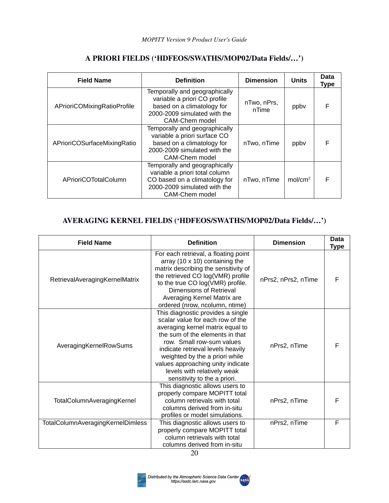| <b>Field Name</b>           | <b>Definition</b>                                                                                                                                  | <b>Dimension</b>     | <b>Units</b>        | <b>Data</b><br>Type |
|-----------------------------|----------------------------------------------------------------------------------------------------------------------------------------------------|----------------------|---------------------|---------------------|
| APrioriCOMixingRatioProfile | Temporally and geographically<br>variable a priori CO profile<br>based on a climatology for<br>2000-2009 simulated with the<br>CAM-Chem model      | nTwo, nPrs,<br>nTime | ppby                | F                   |
| APrioriCOSurfaceMixingRatio | Temporally and geographically<br>variable a priori surface CO<br>based on a climatology for<br>2000-2009 simulated with the<br>CAM-Chem model      | nTwo, nTime          | ppby                | F                   |
| APrioriCOTotalColumn        | Temporally and geographically<br>variable a priori total column<br>CO based on a climatology for<br>2000-2009 simulated with the<br>CAM-Chem model | nTwo, nTime          | mol/cm <sup>2</sup> | F                   |

#### **A PRIORI FIELDS ('HDFEOS/SWATHS/MOP02/Data Fields/…')**

### **AVERAGING KERNEL FIELDS ('HDFEOS/SWATHS/MOP02/Data Fields/…')**

| <b>Field Name</b>                 | <b>Definition</b>                                                                                                                                                                                                                                                                                                                                    | <b>Dimension</b>    | <b>Data</b><br><b>Type</b> |
|-----------------------------------|------------------------------------------------------------------------------------------------------------------------------------------------------------------------------------------------------------------------------------------------------------------------------------------------------------------------------------------------------|---------------------|----------------------------|
| RetrievalAveragingKernelMatrix    | For each retrieval, a floating point<br>array (10 $\times$ 10) containing the<br>matrix describing the sensitivity of<br>the retrieved CO log(VMR) profile<br>to the true CO log(VMR) profile.<br>Dimensions of Retrieval<br>Averaging Kernel Matrix are<br>ordered (nrow, ncolumn, ntime)                                                           | nPrs2, nPrs2, nTime | F                          |
| AveragingKernelRowSums            | This diagnostic provides a single<br>scalar value for each row of the<br>averaging kernel matrix equal to<br>the sum of the elements in that<br>row. Small row-sum values<br>indicate retrieval levels heavily<br>weighted by the a priori while<br>values approaching unity indicate<br>levels with relatively weak<br>sensitivity to the a priori. | nPrs2, nTime        | F                          |
| TotalColumnAveragingKernel        | This diagnostic allows users to<br>properly compare MOPITT total<br>column retrievals with total<br>columns derived from in-situ<br>profiles or model simulations.                                                                                                                                                                                   | nPrs2, nTime        | F                          |
| TotalColumnAveragingKernelDimless | This diagnostic allows users to<br>properly compare MOPITT total<br>column retrievals with total<br>columns derived from in-situ                                                                                                                                                                                                                     | nPrs2, nTime        | F                          |



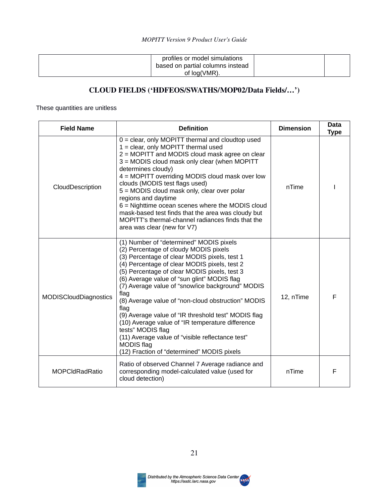| profiles or model simulations<br>based on partial columns instead |  |
|-------------------------------------------------------------------|--|
| of log(VMR).                                                      |  |

## **CLOUD FIELDS ('HDFEOS/SWATHS/MOP02/Data Fields/…')**

These quantities are unitless

| <b>Field Name</b>     | <b>Definition</b>                                                                                                                                                                                                                                                                                                                                                                                                                                                                                                                                                                                                                                                | <b>Dimension</b> | <b>Data</b><br><b>Type</b> |
|-----------------------|------------------------------------------------------------------------------------------------------------------------------------------------------------------------------------------------------------------------------------------------------------------------------------------------------------------------------------------------------------------------------------------------------------------------------------------------------------------------------------------------------------------------------------------------------------------------------------------------------------------------------------------------------------------|------------------|----------------------------|
| CloudDescription      | $0 =$ clear, only MOPITT thermal and cloudtop used<br>$1 =$ clear, only MOPITT thermal used<br>2 = MOPITT and MODIS cloud mask agree on clear<br>3 = MODIS cloud mask only clear (when MOPITT<br>determines cloudy)<br>4 = MOPITT overriding MODIS cloud mask over low<br>clouds (MODIS test flags used)<br>5 = MODIS cloud mask only, clear over polar<br>regions and daytime<br>$6$ = Nighttime ocean scenes where the MODIS cloud<br>mask-based test finds that the area was cloudy but<br>MOPITT's thermal-channel radiances finds that the<br>area was clear (new for V7)                                                                                   | nTime            |                            |
| MODISCloudDiagnostics | (1) Number of "determined" MODIS pixels<br>(2) Percentage of cloudy MODIS pixels<br>(3) Percentage of clear MODIS pixels, test 1<br>(4) Percentage of clear MODIS pixels, test 2<br>(5) Percentage of clear MODIS pixels, test 3<br>(6) Average value of "sun glint" MODIS flag<br>(7) Average value of "snow/ice background" MODIS<br>flag<br>(8) Average value of "non-cloud obstruction" MODIS<br>flag<br>(9) Average value of "IR threshold test" MODIS flag<br>(10) Average value of "IR temperature difference<br>tests" MODIS flag<br>(11) Average value of "visible reflectance test"<br><b>MODIS</b> flag<br>(12) Fraction of "determined" MODIS pixels | 12, nTime        | F                          |
| <b>MOPCIdRadRatio</b> | Ratio of observed Channel 7 Average radiance and<br>corresponding model-calculated value (used for<br>cloud detection)                                                                                                                                                                                                                                                                                                                                                                                                                                                                                                                                           | nTime            | F                          |



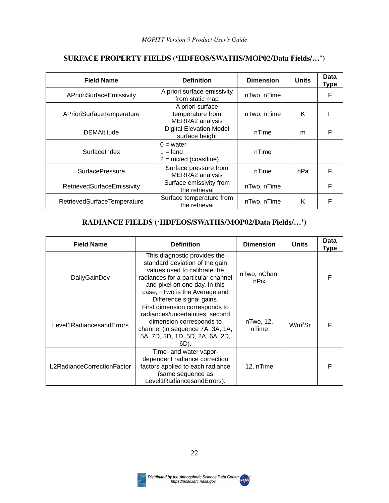| <b>Field Name</b>           | <b>Definition</b>                                       | <b>Dimension</b> | <b>Units</b> | Data<br><b>Type</b> |
|-----------------------------|---------------------------------------------------------|------------------|--------------|---------------------|
| APrioriSurfaceEmissivity    | A priori surface emissivity<br>from static map          | nTwo, nTime      |              | F                   |
| APrioriSurfaceTemperature   | A priori surface<br>temperature from<br>MERRA2 analysis | nTwo, nTime      | K            | F                   |
| <b>DEMAltitude</b>          | <b>Digital Elevation Model</b><br>surface height        | nTime            | m            | F                   |
| SurfaceIndex                | $0 = water$<br>$1 =$ land<br>$2 =$ mixed (coastline)    | nTime            |              |                     |
| <b>SurfacePressure</b>      | Surface pressure from<br>MERRA2 analysis                | nTime            | hPa          | F                   |
| RetrievedSurfaceEmissivity  | Surface emissivity from<br>the retrieval                | nTwo, nTime      |              | F                   |
| RetrievedSurfaceTemperature | Surface temperature from<br>the retrieval               | nTwo, nTime      | K            | F                   |

## **SURFACE PROPERTY FIELDS ('HDFEOS/SWATHS/MOP02/Data Fields/…')**

## **RADIANCE FIELDS ('HDFEOS/SWATHS/MOP02/Data Fields/…')**

| <b>Field Name</b>          | <b>Definition</b>                                                                                                                                                                                                                  | <b>Dimension</b>     | <b>Units</b> | Data<br><b>Type</b> |
|----------------------------|------------------------------------------------------------------------------------------------------------------------------------------------------------------------------------------------------------------------------------|----------------------|--------------|---------------------|
| DailyGainDev               | This diagnostic provides the<br>standard deviation of the gain<br>values used to calibrate the<br>radiances for a particular channel<br>and pixel on one day. In this<br>case, nTwo is the Average and<br>Difference signal gains. | nTwo, nChan,<br>nPix |              | F                   |
| Level1RadiancesandErrors   | First dimension corresponds to<br>radiances/uncertainties; second<br>dimension corresponds to<br>channel (in sequence 7A, 3A, 1A,<br>5A, 7D, 3D, 1D, 5D, 2A, 6A, 2D,<br>6D).                                                       | nTwo, 12,<br>nTime   | $W/m2$ Sr    | F                   |
| L2RadianceCorrectionFactor | Time- and water vapor-<br>dependent radiance correction<br>factors applied to each radiance<br>(same sequence as<br>Level1RadiancesandErrors).                                                                                     | 12, nTime            |              | F                   |



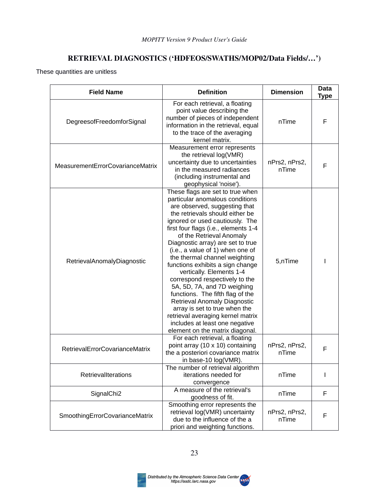## **RETRIEVAL DIAGNOSTICS ('HDFEOS/SWATHS/MOP02/Data Fields/…')**

These quantities are unitless

| <b>Field Name</b>                | <b>Definition</b>                                                                                                                                                                                                                                                                                                                                                                                                                                                                                                                                                                                                                                                                                        | <b>Dimension</b>       | Data<br><b>Type</b> |
|----------------------------------|----------------------------------------------------------------------------------------------------------------------------------------------------------------------------------------------------------------------------------------------------------------------------------------------------------------------------------------------------------------------------------------------------------------------------------------------------------------------------------------------------------------------------------------------------------------------------------------------------------------------------------------------------------------------------------------------------------|------------------------|---------------------|
| DegreesofFreedomforSignal        | For each retrieval, a floating<br>point value describing the<br>number of pieces of independent<br>information in the retrieval, equal<br>to the trace of the averaging<br>kernel matrix.                                                                                                                                                                                                                                                                                                                                                                                                                                                                                                                | nTime                  | F                   |
| MeasurementErrorCovarianceMatrix | Measurement error represents<br>the retrieval log(VMR)<br>uncertainty due to uncertainties<br>in the measured radiances<br>(including instrumental and<br>geophysical 'noise').                                                                                                                                                                                                                                                                                                                                                                                                                                                                                                                          | nPrs2, nPrs2,<br>nTime | F                   |
| RetrievalAnomalyDiagnostic       | These flags are set to true when<br>particular anomalous conditions<br>are observed, suggesting that<br>the retrievals should either be<br>ignored or used cautiously. The<br>first four flags (i.e., elements 1-4<br>of the Retrieval Anomaly<br>Diagnostic array) are set to true<br>(i.e., a value of 1) when one of<br>the thermal channel weighting<br>functions exhibits a sign change<br>vertically. Elements 1-4<br>correspond respectively to the<br>5A, 5D, 7A, and 7D weighing<br>functions. The fifth flag of the<br>Retrieval Anomaly Diagnostic<br>array is set to true when the<br>retrieval averaging kernel matrix<br>includes at least one negative<br>element on the matrix diagonal. | 5,nTime                |                     |
| RetrievalErrorCovarianceMatrix   | For each retrieval, a floating<br>point array (10 x 10) containing<br>the a posteriori covariance matrix<br>in base-10 log(VMR).                                                                                                                                                                                                                                                                                                                                                                                                                                                                                                                                                                         | nPrs2, nPrs2,<br>nTime | F                   |
| RetrievalIterations              | The number of retrieval algorithm<br>iterations needed for<br>convergence                                                                                                                                                                                                                                                                                                                                                                                                                                                                                                                                                                                                                                | nTime                  |                     |
| SignalChi2                       | A measure of the retrieval's<br>goodness of fit.                                                                                                                                                                                                                                                                                                                                                                                                                                                                                                                                                                                                                                                         | nTime                  | F                   |
| SmoothingErrorCovarianceMatrix   | Smoothing error represents the<br>retrieval log(VMR) uncertainty<br>due to the influence of the a<br>priori and weighting functions.                                                                                                                                                                                                                                                                                                                                                                                                                                                                                                                                                                     | nPrs2, nPrs2,<br>nTime | F                   |

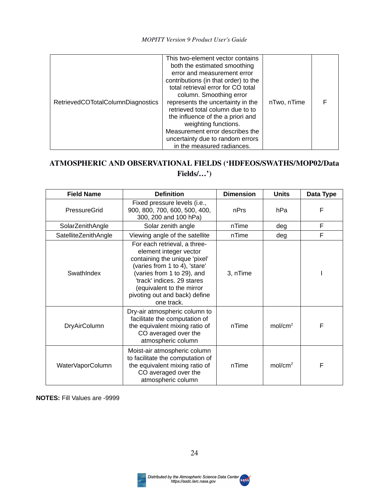| RetrievedCOTotalColumnDiagnostics | This two-element vector contains<br>both the estimated smoothing<br>error and measurement error<br>contributions (in that order) to the<br>total retrieval error for CO total<br>column. Smoothing error<br>represents the uncertainty in the<br>retrieved total column due to to<br>the influence of the a priori and<br>weighting functions.<br>Measurement error describes the<br>uncertainty due to random errors<br>in the measured radiances. | nTwo, nTime |  |
|-----------------------------------|-----------------------------------------------------------------------------------------------------------------------------------------------------------------------------------------------------------------------------------------------------------------------------------------------------------------------------------------------------------------------------------------------------------------------------------------------------|-------------|--|
|-----------------------------------|-----------------------------------------------------------------------------------------------------------------------------------------------------------------------------------------------------------------------------------------------------------------------------------------------------------------------------------------------------------------------------------------------------------------------------------------------------|-------------|--|

## **ATMOSPHERIC AND OBSERVATIONAL FIELDS ('HDFEOS/SWATHS/MOP02/Data Fields/…')**

| <b>Field Name</b>    | <b>Definition</b>                                                                                                                                                                                                                                                | <b>Dimension</b> | <b>Units</b>        | Data Type |
|----------------------|------------------------------------------------------------------------------------------------------------------------------------------------------------------------------------------------------------------------------------------------------------------|------------------|---------------------|-----------|
| PressureGrid         | Fixed pressure levels (i.e.,<br>900, 800, 700, 600, 500, 400,<br>nPrs<br>300, 200 and 100 hPa)                                                                                                                                                                   |                  | hPa                 | F         |
| SolarZenithAngle     | Solar zenith angle                                                                                                                                                                                                                                               | nTime            | deg                 | F         |
| SatelliteZenithAngle | Viewing angle of the satellite                                                                                                                                                                                                                                   | nTime            | deg                 | F         |
| SwathIndex           | For each retrieval, a three-<br>element integer vector<br>containing the unique 'pixel'<br>(varies from 1 to 4), 'stare'<br>(varies from 1 to 29), and<br>'track' indices. 29 stares<br>(equivalent to the mirror<br>pivoting out and back) define<br>one track. | 3, nTime         |                     |           |
| <b>DryAirColumn</b>  | Dry-air atmospheric column to<br>facilitate the computation of<br>the equivalent mixing ratio of<br>CO averaged over the<br>atmospheric column                                                                                                                   |                  | mol/cm <sup>2</sup> | F         |
| WaterVaporColumn     | Moist-air atmospheric column<br>to facilitate the computation of<br>the equivalent mixing ratio of<br>CO averaged over the<br>atmospheric column                                                                                                                 | nTime            | mol/cm <sup>2</sup> | F         |

**NOTES:** Fill Values are -9999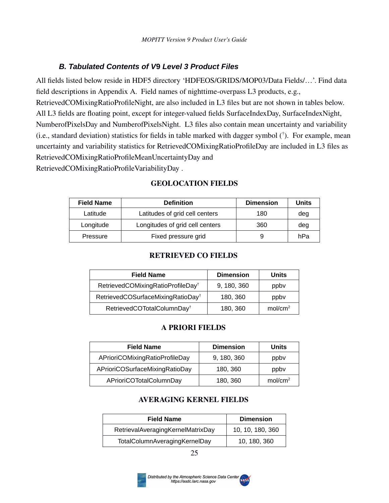### <span id="page-24-1"></span><span id="page-24-0"></span>*B. Tabulated Contents of V***9** *Level 3 Product Files*

All fields listed below reside in HDF5 directory 'HDFEOS/GRIDS/MOP03/Data Fields/…'. Find data field descriptions in Appendix A. Field names of nighttime-overpass L3 products, e.g., RetrievedCOMixingRatioProfileNight, are also included in L3 files but are not shown in tables below. All L3 fields are floating point, except for integer-valued fields SurfaceIndexDay, SurfaceIndexNight, NumberofPixelsDay and NumberofPixelsNight. L3 files also contain mean uncertainty and variability (i.e., standard deviation) statistics for fields in table marked with dagger symbol († ). For example, mean uncertainty and variability statistics for RetrievedCOMixingRatioProfileDay are included in L3 files as RetrievedCOMixingRatioProfileMeanUncertaintyDay and

RetrievedCOMixingRatioProfileVariabilityDay .

| <b>Field Name</b> | <b>Definition</b>               | <b>Dimension</b> | <b>Units</b> |
|-------------------|---------------------------------|------------------|--------------|
| Latitude          | Latitudes of grid cell centers  | 180              | deg          |
| Longitude         | Longitudes of grid cell centers | 360              | deg          |
| Pressure          | Fixed pressure grid             | 9                | hPa          |

#### **GEOLOCATION FIELDS**

#### **RETRIEVED CO FIELDS**

| <b>Field Name</b>                             | <b>Dimension</b> | <b>Units</b>        |
|-----------------------------------------------|------------------|---------------------|
| RetrievedCOMixingRatioProfileDay <sup>+</sup> | 9, 180, 360      | ppby                |
| RetrievedCOSurfaceMixingRatioDay <sup>+</sup> | 180, 360         | ppby                |
| RetrievedCOTotalColumnDay <sup>†</sup>        | 180, 360         | mol/cm <sup>2</sup> |

#### **A PRIORI FIELDS**

| <b>Field Name</b>              | <b>Dimension</b> | <b>Units</b>        |
|--------------------------------|------------------|---------------------|
| APrioriCOMixingRatioProfileDay | 9, 180, 360      | ppby                |
| APrioriCOSurfaceMixingRatioDay | 180, 360         | ppby                |
| APrioriCOTotalColumnDay        | 180, 360         | mol/cm <sup>2</sup> |

#### **AVERAGING KERNEL FIELDS**

| <b>Field Name</b>                 | <b>Dimension</b> |
|-----------------------------------|------------------|
| RetrievalAveragingKernelMatrixDay | 10, 10, 180, 360 |
| TotalColumnAveragingKernelDay     | 10, 180, 360     |



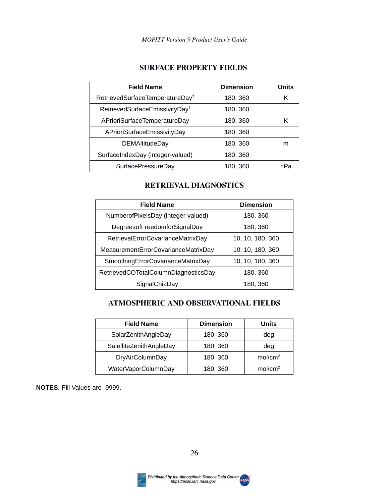#### **SURFACE PROPERTY FIELDS**

| <b>Field Name</b>                           | <b>Dimension</b> | <b>Units</b> |
|---------------------------------------------|------------------|--------------|
| RetrievedSurfaceTemperatureDay <sup>+</sup> | 180, 360         | κ            |
| RetrievedSurfaceEmissivityDay <sup>+</sup>  | 180, 360         |              |
| APrioriSurfaceTemperatureDay                | 180, 360         | Κ            |
| APrioriSurfaceEmissivityDay                 | 180, 360         |              |
| <b>DEMAltitudeDay</b>                       | 180, 360         | m            |
| SurfaceIndexDay (integer-valued)            | 180, 360         |              |
| SurfacePressureDay                          | 180, 360         | hPa          |

#### **RETRIEVAL DIAGNOSTICS**

| <b>Field Name</b>                    | <b>Dimension</b> |
|--------------------------------------|------------------|
| NumberofPixelsDay (integer-valued)   | 180, 360         |
| DegreesofFreedomforSignalDay         | 180, 360         |
| RetrievalErrorCovarianceMatrixDay    | 10, 10, 180, 360 |
| MeasurementErrorCovarianceMatrixDay  | 10, 10, 180, 360 |
| SmoothingErrorCovarianceMatrixDay    | 10, 10, 180, 360 |
| RetrievedCOTotalColumnDiagnosticsDay | 180, 360         |
| SignalChi2Day                        | 180, 360         |

#### **ATMOSPHERIC AND OBSERVATIONAL FIELDS**

| <b>Field Name</b>       | <b>Dimension</b> | <b>Units</b>        |
|-------------------------|------------------|---------------------|
| SolarZenithAngleDay     | 180, 360         | dea                 |
| SatelliteZenithAngleDay | 180, 360         | deg                 |
| DryAirColumnDay         | 180, 360         | mol/cm <sup>2</sup> |
| WaterVaporColumnDay     | 180, 360         | mol/cm <sup>2</sup> |

**NOTES:** Fill Values are -9999.

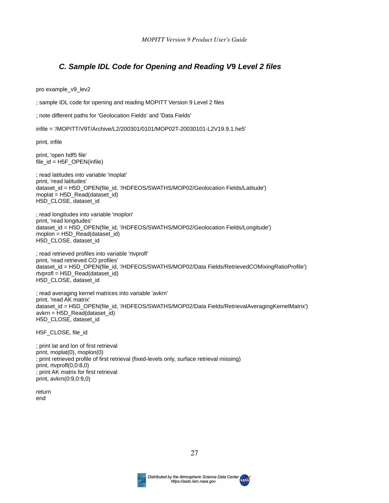#### <span id="page-26-1"></span><span id="page-26-0"></span>*C. Sample IDL Code for Opening and Reading V***9** *Level 2 files*

pro example\_v9\_lev2

; sample IDL code for opening and reading MOPITT Version 9 Level 2 files

; note different paths for 'Geolocation Fields' and 'Data Fields'

infile = '/MOPITT/V9T/Archive/L2/200301/0101/MOP02T-20030101-L2V19.9.1.he5'

print, infile

print, 'open hdf5 file' file\_id = H5F\_OPEN(infile)

; read latitudes into variable 'moplat' print, 'read latitudes' dataset\_id = H5D\_OPEN(file\_id, '/HDFEOS/SWATHS/MOP02/Geolocation Fields/Latitude') moplat = H5D\_Read(dataset\_id) H5D\_CLOSE, dataset\_id

; read longitudes into variable 'moplon' print, 'read longitudes' dataset id = H5D\_OPEN(file\_id, '/HDFEOS/SWATHS/MOP02/Geolocation Fields/Longitude') moplon =  $H5D$  Read(dataset id) H5D CLOSE, dataset\_id

; read retrieved profiles into variable 'rtvprofl' print, 'read retrieved CO profiles' dataset\_id = H5D\_OPEN(file\_id, '/HDFEOS/SWATHS/MOP02/Data Fields/RetrievedCOMixingRatioProfile')  $rtvprofl = H5D$  Read(dataset id) H5D\_CLOSE, dataset\_id

; read averaging kernel matrices into variable 'avkrn' print, 'read AK matrix' dataset\_id = H5D\_OPEN(file\_id, '/HDFEOS/SWATHS/MOP02/Data Fields/RetrievalAveragingKernelMatrix')  $av$ krn = H5D Read(dataset id) H5D\_CLOSE, dataset\_id

H5F\_CLOSE, file\_id

; print lat and lon of first retrieval print, moplat(0), moplon(0) ; print retrieved profile of first retrieval (fixed-levels only, surface retrieval missing) print, rtvprofl(0,0:8,0) ; print AK matrix for first retrieval print, avkrn(0:9,0:9,0)

return end

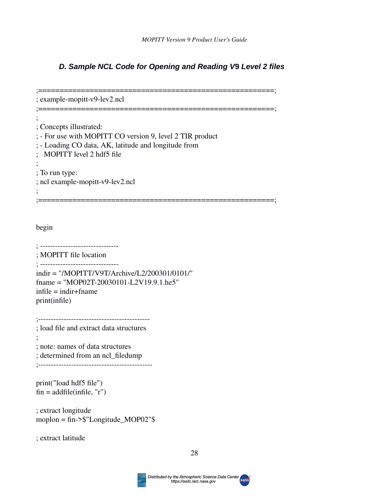### <span id="page-27-1"></span><span id="page-27-0"></span>*D. Sample NCL Code for Opening and Reading V***9** *Level 2 files*

;=======================================================; ; example-mopitt-v9-lev2.ncl ;=======================================================; ; ; Concepts illustrated: ; - For use with MOPITT CO version 9, level 2 TIR product ; - Loading CO data, AK, latitude and longitude from ; MOPITT level 2 hdf5 file ; ; To run type: ; ncl example-mopitt-v9-lev2.ncl ; ;=======================================================; begin ; ------------------------------- ; MOPITT file location ; ------------------------------ indir = "/MOPITT/V9T/Archive/L2/200301/0101/" fname = "MOP02T-20030101-L2V19.9.1.he5"  $infile = indir + finance$ print(infile) ;-------------------------------------------- ; load file and extract data structures ; ; note: names of data structures ; determined from an ncl\_filedump ;-------------------------------------------- print("load hdf5 file")  $fin = addfile(intfile, "r")$ ; extract longitude

; extract latitude

moplon = fin->\$"Longitude\_MOP02"\$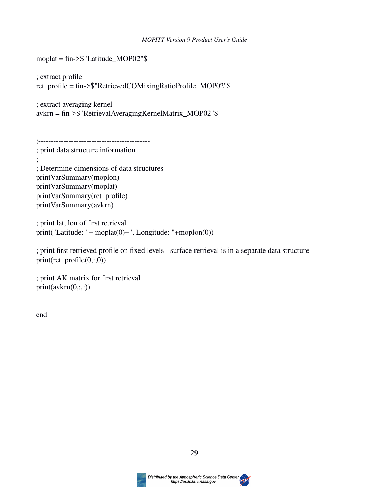#### *MOPITT Version 9 Product User's Guide*

moplat = fin->\$"Latitude\_MOP02"\$

; extract profile ret\_profile = fin->\$"RetrievedCOMixingRatioProfile\_MOP02"\$

; extract averaging kernel avkrn = fin->\$"RetrievalAveragingKernelMatrix\_MOP02"\$

;--------------------------------------------

; print data structure information

;---------------------------------------------

; Determine dimensions of data structures printVarSummary(moplon) printVarSummary(moplat) printVarSummary(ret\_profile) printVarSummary(avkrn)

; print lat, lon of first retrieval print("Latitude: "+ moplat(0)+", Longitude: "+moplon(0))

; print first retrieved profile on fixed levels - surface retrieval is in a separate data structure print(ret\_profile(0,:,0))

; print AK matrix for first retrieval  $print(avkrn(0, :, :))$ 

end



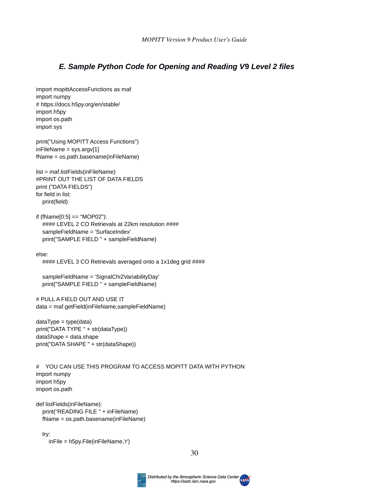#### <span id="page-29-0"></span>*E. Sample Python Code for Opening and Reading V***9** *Level 2 files*

import mopittAccessFunctions as maf import numpy # https://docs.h5py.org/en/stable/ import h5py import os.path import sys

print("Using MOPITT Access Functions") inFileName = sys.argv[1] fName = os.path.basename(inFileName)

list = maf.listFields(inFileName) #PRINT OUT THE LIST OF DATA FIELDS print ("DATA FIELDS") for field in list: print(field)

 $if (fName[0:5] == "MOP02")$ : #### LEVEL 2 CO Retrievals at 22km resolution #### sampleFieldName = 'SurfaceIndex' print("SAMPLE FIELD " + sampleFieldName)

else:

#### LEVEL 3 CO Retrievals averaged onto a 1x1deg grid ####

```
 sampleFieldName = 'SignalChi2VariabilityDay'
 print("SAMPLE FIELD " + sampleFieldName)
```
# PULL A FIELD OUT AND USE IT data = maf.getField(inFileName,sampleFieldName)

 $dataType = type(data)$ print("DATA TYPE " + str(dataType)) dataShape = data.shape print("DATA SHAPE " + str(dataShape))

# YOU CAN USE THIS PROGRAM TO ACCESS MOPITT DATA WITH PYTHON import numpy import h5py import os.path

```
def listFields(inFileName):
   print("READING FILE " + inFileName)
   fName = os.path.basename(inFileName)
```
try:

inFile = h5py.File(inFileName,'r')

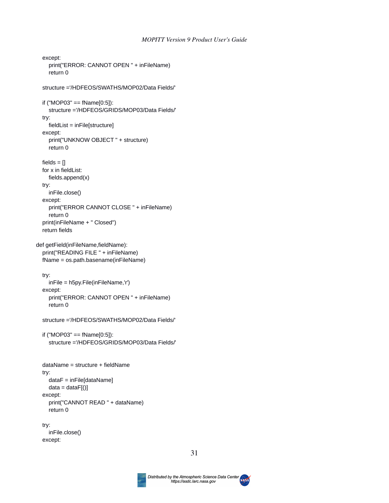#### *MOPITT Version 9 Product User's Guide*

```
 except:
     print("ERROR: CANNOT OPEN " + inFileName)
     return 0
   structure ='/HDFEOS/SWATHS/MOP02/Data Fields/'
   if ("MOP03" == fName[0:5]):
     structure ='/HDFEOS/GRIDS/MOP03/Data Fields/'
   try: 
     fieldList = inFile[structure]
   except:
     print("UNKNOW OBJECT " + structure)
     return 0
  fields = \Box for x in fieldList:
     fields.append(x)
   try:
     inFile.close()
   except:
     print("ERROR CANNOT CLOSE " + inFileName)
     return 0
   print(inFileName + " Closed")
   return fields
def getField(inFileName,fieldName):
   print("READING FILE " + inFileName)
   fName = os.path.basename(inFileName)
   try:
     inFile = h5py.File(inFileName,'r')
   except:
     print("ERROR: CANNOT OPEN " + inFileName)
     return 0
   structure ='/HDFEOS/SWATHS/MOP02/Data Fields/'
  if ("MOP03" == fName[0:5]):
     structure ='/HDFEOS/GRIDS/MOP03/Data Fields/'
   dataName = structure + fieldName
   try:
     dataF = inFile[dataName]
    data = dataF[()] except:
     print("CANNOT READ " + dataName)
     return 0
   try:
     inFile.close()
   except:
```